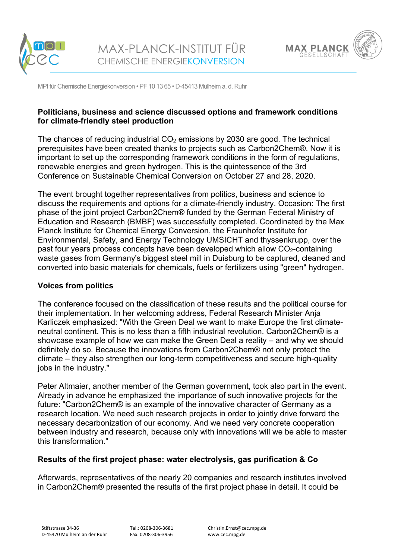



MPI für Chemische Energiekonversion • PF 10 13 65 • D-45413 Mülheim a. d. Ruhr

## **Politicians, business and science discussed options and framework conditions for climate-friendly steel production**

The chances of reducing industrial  $CO<sub>2</sub>$  emissions by 2030 are good. The technical prerequisites have been created thanks to projects such as Carbon2Chem®. Now it is important to set up the corresponding framework conditions in the form of regulations, renewable energies and green hydrogen. This is the quintessence of the 3rd Conference on Sustainable Chemical Conversion on October 27 and 28, 2020.

The event brought together representatives from politics, business and science to discuss the requirements and options for a climate-friendly industry. Occasion: The first phase of the joint project Carbon2Chem® funded by the German Federal Ministry of Education and Research (BMBF) was successfully completed. Coordinated by the Max Planck Institute for Chemical Energy Conversion, the Fraunhofer Institute for Environmental, Safety, and Energy Technology UMSICHT and thyssenkrupp, over the past four years process concepts have been developed which allow  $CO<sub>2</sub>$ -containing waste gases from Germany's biggest steel mill in Duisburg to be captured, cleaned and converted into basic materials for chemicals, fuels or fertilizers using "green" hydrogen.

## **Voices from politics**

The conference focused on the classification of these results and the political course for their implementation. In her welcoming address, Federal Research Minister Anja Karliczek emphasized: "With the Green Deal we want to make Europe the first climateneutral continent. This is no less than a fifth industrial revolution. Carbon2Chem® is a showcase example of how we can make the Green Deal a reality – and why we should definitely do so. Because the innovations from Carbon2Chem® not only protect the climate – they also strengthen our long-term competitiveness and secure high-quality jobs in the industry."

Peter Altmaier, another member of the German government, took also part in the event. Already in advance he emphasized the importance of such innovative projects for the future: "Carbon2Chem® is an example of the innovative character of Germany as a research location. We need such research projects in order to jointly drive forward the necessary decarbonization of our economy. And we need very concrete cooperation between industry and research, because only with innovations will we be able to master this transformation."

## **Results of the first project phase: water electrolysis, gas purification & Co**

Afterwards, representatives of the nearly 20 companies and research institutes involved in Carbon2Chem® presented the results of the first project phase in detail. It could be